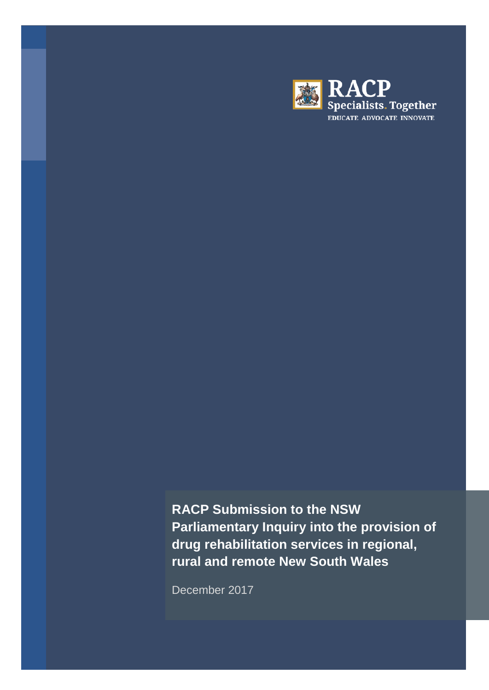

**RACP Submission to the NSW Parliamentary Inquiry into the provision of drug rehabilitation services in regional, rural and remote New South Wales**

December 2017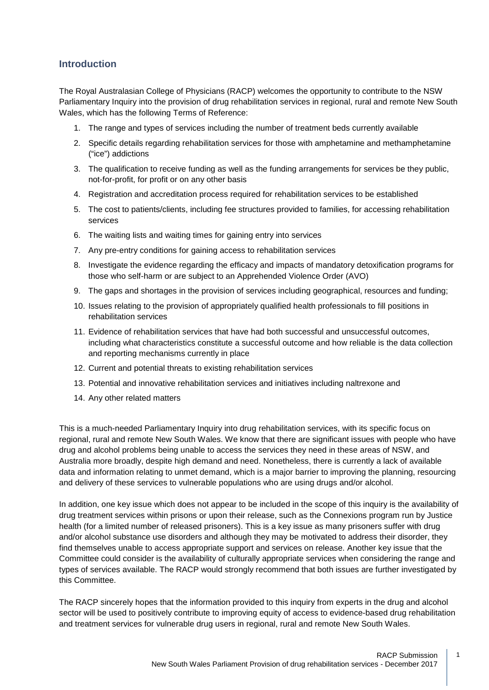## **Introduction**

The Royal Australasian College of Physicians (RACP) welcomes the opportunity to contribute to the NSW Parliamentary Inquiry into the provision of drug rehabilitation services in regional, rural and remote New South Wales, which has the following Terms of Reference:

- 1. The range and types of services including the number of treatment beds currently available
- 2. Specific details regarding rehabilitation services for those with amphetamine and methamphetamine ("ice") addictions
- 3. The qualification to receive funding as well as the funding arrangements for services be they public, not-for-profit, for profit or on any other basis
- 4. Registration and accreditation process required for rehabilitation services to be established
- 5. The cost to patients/clients, including fee structures provided to families, for accessing rehabilitation services
- 6. The waiting lists and waiting times for gaining entry into services
- 7. Any pre-entry conditions for gaining access to rehabilitation services
- 8. Investigate the evidence regarding the efficacy and impacts of mandatory detoxification programs for those who self-harm or are subject to an Apprehended Violence Order (AVO)
- 9. The gaps and shortages in the provision of services including geographical, resources and funding;
- 10. Issues relating to the provision of appropriately qualified health professionals to fill positions in rehabilitation services
- 11. Evidence of rehabilitation services that have had both successful and unsuccessful outcomes, including what characteristics constitute a successful outcome and how reliable is the data collection and reporting mechanisms currently in place
- 12. Current and potential threats to existing rehabilitation services
- 13. Potential and innovative rehabilitation services and initiatives including naltrexone and
- 14. Any other related matters

This is a much-needed Parliamentary Inquiry into drug rehabilitation services, with its specific focus on regional, rural and remote New South Wales. We know that there are significant issues with people who have drug and alcohol problems being unable to access the services they need in these areas of NSW, and Australia more broadly, despite high demand and need. Nonetheless, there is currently a lack of available data and information relating to unmet demand, which is a major barrier to improving the planning, resourcing and delivery of these services to vulnerable populations who are using drugs and/or alcohol.

In addition, one key issue which does not appear to be included in the scope of this inquiry is the availability of drug treatment services within prisons or upon their release, such as the Connexions program run by Justice health (for a limited number of released prisoners). This is a key issue as many prisoners suffer with drug and/or alcohol substance use disorders and although they may be motivated to address their disorder, they find themselves unable to access appropriate support and services on release. Another key issue that the Committee could consider is the availability of culturally appropriate services when considering the range and types of services available. The RACP would strongly recommend that both issues are further investigated by this Committee.

The RACP sincerely hopes that the information provided to this inquiry from experts in the drug and alcohol sector will be used to positively contribute to improving equity of access to evidence-based drug rehabilitation and treatment services for vulnerable drug users in regional, rural and remote New South Wales.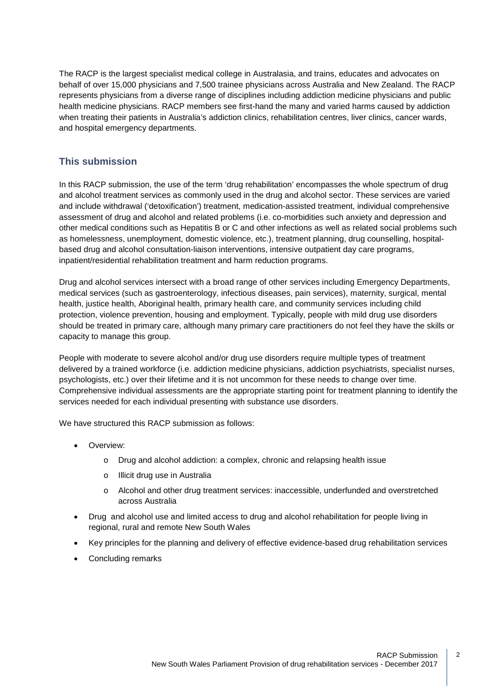The RACP is the largest specialist medical college in Australasia, and trains, educates and advocates on behalf of over 15,000 physicians and 7,500 trainee physicians across Australia and New Zealand. The RACP represents physicians from a diverse range of disciplines including addiction medicine physicians and public health medicine physicians. RACP members see first-hand the many and varied harms caused by addiction when treating their patients in Australia's addiction clinics, rehabilitation centres, liver clinics, cancer wards, and hospital emergency departments.

## **This submission**

In this RACP submission, the use of the term 'drug rehabilitation' encompasses the whole spectrum of drug and alcohol treatment services as commonly used in the drug and alcohol sector. These services are varied and include withdrawal ('detoxification') treatment, medication-assisted treatment, individual comprehensive assessment of drug and alcohol and related problems (i.e. co-morbidities such anxiety and depression and other medical conditions such as Hepatitis B or C and other infections as well as related social problems such as homelessness, unemployment, domestic violence, etc.), treatment planning, drug counselling, hospitalbased drug and alcohol consultation-liaison interventions, intensive outpatient day care programs, inpatient/residential rehabilitation treatment and harm reduction programs.

Drug and alcohol services intersect with a broad range of other services including Emergency Departments, medical services (such as gastroenterology, infectious diseases, pain services), maternity, surgical, mental health, justice health, Aboriginal health, primary health care, and community services including child protection, violence prevention, housing and employment. Typically, people with mild drug use disorders should be treated in primary care, although many primary care practitioners do not feel they have the skills or capacity to manage this group.

People with moderate to severe alcohol and/or drug use disorders require multiple types of treatment delivered by a trained workforce (i.e. addiction medicine physicians, addiction psychiatrists, specialist nurses, psychologists, etc.) over their lifetime and it is not uncommon for these needs to change over time. Comprehensive individual assessments are the appropriate starting point for treatment planning to identify the services needed for each individual presenting with substance use disorders.

We have structured this RACP submission as follows:

- Overview:
	- o Drug and alcohol addiction: a complex, chronic and relapsing health issue
	- o Illicit drug use in Australia
	- o Alcohol and other drug treatment services: inaccessible, underfunded and overstretched across Australia
- Drug and alcohol use and limited access to drug and alcohol rehabilitation for people living in regional, rural and remote New South Wales
- Key principles for the planning and delivery of effective evidence-based drug rehabilitation services
- Concluding remarks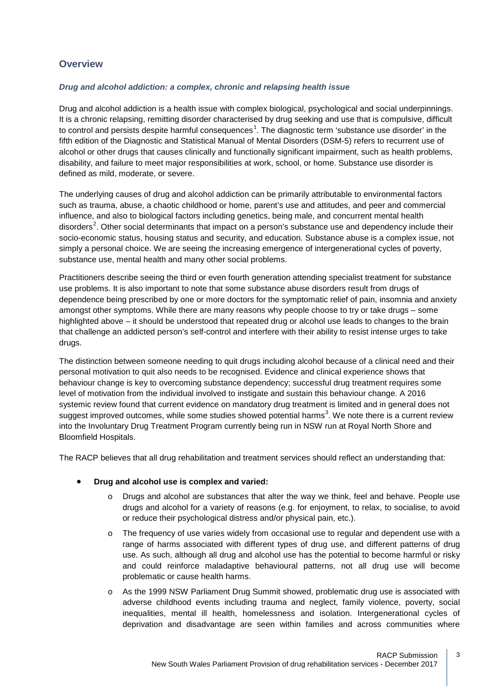## **Overview**

#### *Drug and alcohol addiction: a complex, chronic and relapsing health issue*

Drug and alcohol addiction is a health issue with complex biological, psychological and social underpinnings. It is a chronic relapsing, remitting disorder characterised by drug seeking and use that is compulsive, difficult to control and persists despite harmful consequences<sup>[1](#page-10-0)</sup>. The diagnostic term 'substance use disorder' in the fifth edition of the Diagnostic and Statistical Manual of Mental Disorders (DSM-5) refers to recurrent use of alcohol or other drugs that causes clinically and functionally significant impairment, such as health problems, disability, and failure to meet major responsibilities at work, school, or home. Substance use disorder is defined as mild, moderate, or severe.

The underlying causes of drug and alcohol addiction can be primarily attributable to environmental factors such as trauma, abuse, a chaotic childhood or home, parent's use and attitudes, and peer and commercial influence, and also to biological factors including genetics, being male, and concurrent mental health disorders<sup>[2](#page-10-1)</sup>. Other social determinants that impact on a person's substance use and dependency include their socio-economic status, housing status and security, and education. Substance abuse is a complex issue, not simply a personal choice. We are seeing the increasing emergence of intergenerational cycles of poverty, substance use, mental health and many other social problems.

Practitioners describe seeing the third or even fourth generation attending specialist treatment for substance use problems. It is also important to note that some substance abuse disorders result from drugs of dependence being prescribed by one or more doctors for the symptomatic relief of pain, insomnia and anxiety amongst other symptoms. While there are many reasons why people choose to try or take drugs – some highlighted above – it should be understood that repeated drug or alcohol use leads to changes to the brain that challenge an addicted person's self-control and interfere with their ability to resist intense urges to take drugs.

The distinction between someone needing to quit drugs including alcohol because of a clinical need and their personal motivation to quit also needs to be recognised. Evidence and clinical experience shows that behaviour change is key to overcoming substance dependency; successful drug treatment requires some level of motivation from the individual involved to instigate and sustain this behaviour change. A 2016 systemic review found that current evidence on mandatory drug treatment is limited and in general does not suggest improved outcomes, while some studies showed potential harms<sup>[3](#page-10-2)</sup>. We note there is a current review into the Involuntary Drug Treatment Program currently being run in NSW run at Royal North Shore and Bloomfield Hospitals.

The RACP believes that all drug rehabilitation and treatment services should reflect an understanding that:

### • **Drug and alcohol use is complex and varied:**

- o Drugs and alcohol are substances that alter the way we think, feel and behave. People use drugs and alcohol for a variety of reasons (e.g. for enjoyment, to relax, to socialise, to avoid or reduce their psychological distress and/or physical pain, etc.).
- $\circ$  The frequency of use varies widely from occasional use to regular and dependent use with a range of harms associated with different types of drug use, and different patterns of drug use. As such, although all drug and alcohol use has the potential to become harmful or risky and could reinforce maladaptive behavioural patterns, not all drug use will become problematic or cause health harms.
- o As the 1999 NSW Parliament Drug Summit showed, problematic drug use is associated with adverse childhood events including trauma and neglect, family violence, poverty, social inequalities, mental ill health, homelessness and isolation. Intergenerational cycles of deprivation and disadvantage are seen within families and across communities where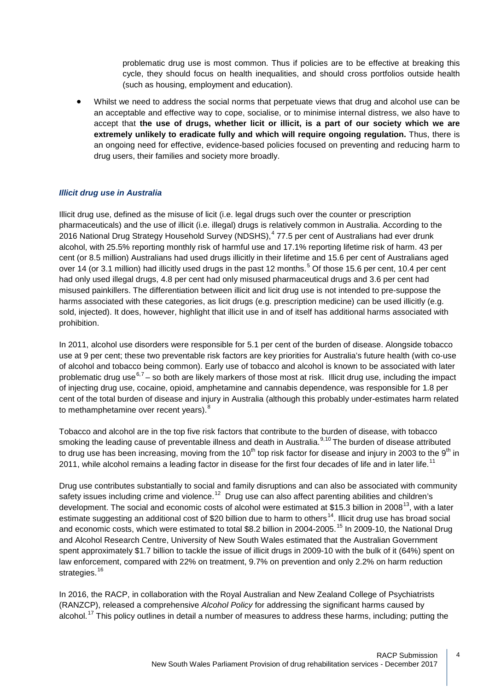problematic drug use is most common. Thus if policies are to be effective at breaking this cycle, they should focus on health inequalities, and should cross portfolios outside health (such as housing, employment and education).

• Whilst we need to address the social norms that perpetuate views that drug and alcohol use can be an acceptable and effective way to cope, socialise, or to minimise internal distress, we also have to accept that **the use of drugs, whether licit or illicit, is a part of our society which we are extremely unlikely to eradicate fully and which will require ongoing regulation.** Thus, there is an ongoing need for effective, evidence-based policies focused on preventing and reducing harm to drug users, their families and society more broadly.

### *Illicit drug use in Australia*

Illicit drug use, defined as the misuse of licit (i.e. legal drugs such over the counter or prescription pharmaceuticals) and the use of illicit (i.e. illegal) drugs is relatively common in Australia. According to the 2016 National Drug Strategy Household Survey (NDSHS),<sup>[4](#page-11-0)</sup> 77.5 per cent of Australians had ever drunk alcohol, with 25.5% reporting monthly risk of harmful use and 17.1% reporting lifetime risk of harm. 43 per cent (or 8.5 million) Australians had used drugs illicitly in their lifetime and 15.6 per cent of Australians aged over 14 (or 3.1 million) had illicitly used drugs in the past 12 months.<sup>[5](#page-11-1)</sup> Of those 15.6 per cent, 10.4 per cent had only used illegal drugs, 4.8 per cent had only misused pharmaceutical drugs and 3.6 per cent had misused painkillers. The differentiation between illicit and licit drug use is not intended to pre-suppose the harms associated with these categories, as licit drugs (e.g. prescription medicine) can be used illicitly (e.g. sold, injected). It does, however, highlight that illicit use in and of itself has additional harms associated with prohibition.

In 2011, alcohol use disorders were responsible for 5.1 per cent of the burden of disease. Alongside tobacco use at 9 per cent; these two preventable risk factors are key priorities for Australia's future health (with co-use of alcohol and tobacco being common). Early use of tobacco and alcohol is known to be associated with later problematic drug use<sup>[6,](#page-11-2)[7](#page-11-3)</sup> – so both are likely markers of those most at risk. Illicit drug use, including the impact of injecting drug use, cocaine, opioid, amphetamine and cannabis dependence, was responsible for 1.8 per cent of the total burden of disease and injury in Australia (although this probably under-estimates harm related to methamphetamine over recent years).<sup>[8](#page-11-4)</sup>

Tobacco and alcohol are in the top five risk factors that contribute to the burden of disease, with tobacco smoking the leading cause of preventable illness and death in Australia.<sup>[9,](#page-11-5)[10](#page-11-6)</sup> The burden of disease attributed to drug use has been increasing, moving from the 10<sup>th</sup> top risk factor for disease and injury in 2003 to the 9<sup>th</sup> in 20[11](#page-11-7), while alcohol remains a leading factor in disease for the first four decades of life and in later life.<sup>11</sup>

Drug use contributes substantially to social and family disruptions and can also be associated with community safety issues including crime and violence.<sup>12</sup> Drug use can also affect parenting abilities and children's development. The social and economic costs of alcohol were estimated at \$15.3 billion in 2008<sup>[13](#page-11-9)</sup>, with a later estimate suggesting an additional cost of \$20 billion due to harm to others<sup>[14](#page-11-10)</sup>. Illicit drug use has broad social and economic costs, which were estimated to total \$8.2 billion in 2004-2005.[15](#page-11-11) In 2009-10, the National Drug and Alcohol Research Centre, University of New South Wales estimated that the Australian Government spent approximately \$1.7 billion to tackle the issue of illicit drugs in 2009-10 with the bulk of it (64%) spent on law enforcement, compared with 22% on treatment, 9.7% on prevention and only 2.2% on harm reduction strategies.<sup>[16](#page-11-12)</sup>

In 2016, the RACP, in collaboration with the Royal Australian and New Zealand College of Psychiatrists (RANZCP), released a comprehensive *Alcohol Policy* for addressing the significant harms caused by alcohol.<sup>[17](#page-11-13)</sup> This policy outlines in detail a number of measures to address these harms, including; putting the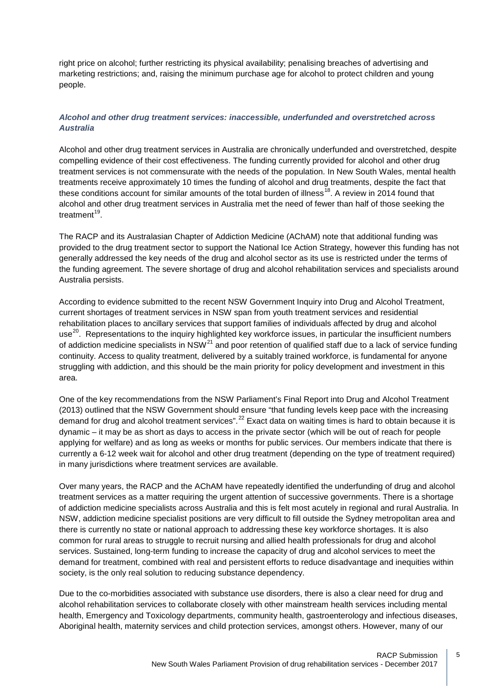right price on alcohol; further restricting its physical availability; penalising breaches of advertising and marketing restrictions; and, raising the minimum purchase age for alcohol to protect children and young people.

## *Alcohol and other drug treatment services: inaccessible, underfunded and overstretched across Australia*

Alcohol and other drug treatment services in Australia are chronically underfunded and overstretched, despite compelling evidence of their cost effectiveness. The funding currently provided for alcohol and other drug treatment services is not commensurate with the needs of the population. In New South Wales, mental health treatments receive approximately 10 times the funding of alcohol and drug treatments, despite the fact that these conditions account for similar amounts of the total burden of illness<sup>[18](#page-11-14)</sup>. A review in 2014 found that alcohol and other drug treatment services in Australia met the need of fewer than half of those seeking the treatment $19$ .

The RACP and its Australasian Chapter of Addiction Medicine (AChAM) note that additional funding was provided to the drug treatment sector to support the National Ice Action Strategy, however this funding has not generally addressed the key needs of the drug and alcohol sector as its use is restricted under the terms of the funding agreement. The severe shortage of drug and alcohol rehabilitation services and specialists around Australia persists.

According to evidence submitted to the recent NSW Government Inquiry into Drug and Alcohol Treatment, current shortages of treatment services in NSW span from youth treatment services and residential rehabilitation places to ancillary services that support families of individuals affected by drug and alcohol use<sup>20</sup>. Representations to the inquiry highlighted key workforce issues, in particular the insufficient numbers of addiction medicine specialists in NSW<sup>[21](#page-11-17)</sup> and poor retention of qualified staff due to a lack of service funding continuity. Access to quality treatment, delivered by a suitably trained workforce, is fundamental for anyone struggling with addiction, and this should be the main priority for policy development and investment in this area.

One of the key recommendations from the NSW Parliament's Final Report into Drug and Alcohol Treatment (2013) outlined that the NSW Government should ensure "that funding levels keep pace with the increasing demand for drug and alcohol treatment services".<sup>[22](#page-11-18)</sup> Exact data on waiting times is hard to obtain because it is dynamic – it may be as short as days to access in the private sector (which will be out of reach for people applying for welfare) and as long as weeks or months for public services. Our members indicate that there is currently a 6-12 week wait for alcohol and other drug treatment (depending on the type of treatment required) in many jurisdictions where treatment services are available.

Over many years, the RACP and the AChAM have repeatedly identified the underfunding of drug and alcohol treatment services as a matter requiring the urgent attention of successive governments. There is a shortage of addiction medicine specialists across Australia and this is felt most acutely in regional and rural Australia. In NSW, addiction medicine specialist positions are very difficult to fill outside the Sydney metropolitan area and there is currently no state or national approach to addressing these key workforce shortages. It is also common for rural areas to struggle to recruit nursing and allied health professionals for drug and alcohol services. Sustained, long-term funding to increase the capacity of drug and alcohol services to meet the demand for treatment, combined with real and persistent efforts to reduce disadvantage and inequities within society, is the only real solution to reducing substance dependency.

Due to the co-morbidities associated with substance use disorders, there is also a clear need for drug and alcohol rehabilitation services to collaborate closely with other mainstream health services including mental health, Emergency and Toxicology departments, community health, gastroenterology and infectious diseases, Aboriginal health, maternity services and child protection services, amongst others. However, many of our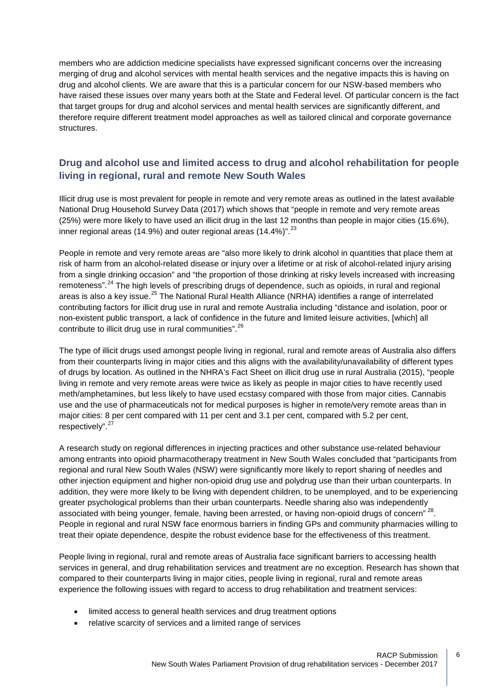members who are addiction medicine specialists have expressed significant concerns over the increasing merging of drug and alcohol services with mental health services and the negative impacts this is having on drug and alcohol clients. We are aware that this is a particular concern for our NSW-based members who have raised these issues over many years both at the State and Federal level. Of particular concern is the fact that target groups for drug and alcohol services and mental health services are significantly different, and therefore require different treatment model approaches as well as tailored clinical and corporate governance structures.

# **Drug and alcohol use and limited access to drug and alcohol rehabilitation for people living in regional, rural and remote New South Wales**

Illicit drug use is most prevalent for people in remote and very remote areas as outlined in the latest available National Drug Household Survey Data (2017) which shows that "people in remote and very remote areas (25%) were more likely to have used an illicit drug in the last 12 months than people in major cities (15.6%), inner regional areas (14.9%) and outer regional areas (14.4%)".  $^{23}$  $^{23}$  $^{23}$ 

People in remote and very remote areas are "also more likely to drink alcohol in quantities that place them at risk of harm from an alcohol-related disease or injury over a lifetime or at risk of alcohol-related injury arising from a single drinking occasion" and "the proportion of those drinking at risky levels increased with increasing remoteness".<sup>[24](#page-11-20)</sup> The high levels of prescribing drugs of dependence, such as opioids, in rural and regional areas is also a key issue.<sup>[25](#page-11-21)</sup> The National Rural Health Alliance (NRHA) identifies a range of interrelated contributing factors for illicit drug use in rural and remote Australia including "distance and isolation, poor or non-existent public transport, a lack of confidence in the future and limited leisure activities, [which] all contribute to illicit drug use in rural communities".<sup>[26](#page-11-22)</sup>

The type of illicit drugs used amongst people living in regional, rural and remote areas of Australia also differs from their counterparts living in major cities and this aligns with the availability/unavailability of different types of drugs by location. As outlined in the NHRA's Fact Sheet on illicit drug use in rural Australia (2015), "people living in remote and very remote areas were twice as likely as people in major cities to have recently used meth/amphetamines, but less likely to have used ecstasy compared with those from major cities. Cannabis use and the use of pharmaceuticals not for medical purposes is higher in remote/very remote areas than in major cities: 8 per cent compared with 11 per cent and 3.1 per cent, compared with 5.2 per cent, respectively".<sup>[27](#page-11-23)</sup>

A research study on regional differences in injecting practices and other substance use-related behaviour among entrants into opioid pharmacotherapy treatment in New South Wales concluded that "participants from regional and rural New South Wales (NSW) were significantly more likely to report sharing of needles and other injection equipment and higher non-opioid drug use and polydrug use than their urban counterparts. In addition, they were more likely to be living with dependent children, to be unemployed, and to be experiencing greater psychological problems than their urban counterparts. Needle sharing also was independently associated with being younger, female, having been arrested, or having non-opioid drugs of concern" <sup>[28](#page-11-24)</sup>. People in regional and rural NSW face enormous barriers in finding GPs and community pharmacies willing to treat their opiate dependence, despite the robust evidence base for the effectiveness of this treatment.

People living in regional, rural and remote areas of Australia face significant barriers to accessing health services in general, and drug rehabilitation services and treatment are no exception. Research has shown that compared to their counterparts living in major cities, people living in regional, rural and remote areas experience the following issues with regard to access to drug rehabilitation and treatment services:

- limited access to general health services and drug treatment options
- relative scarcity of services and a limited range of services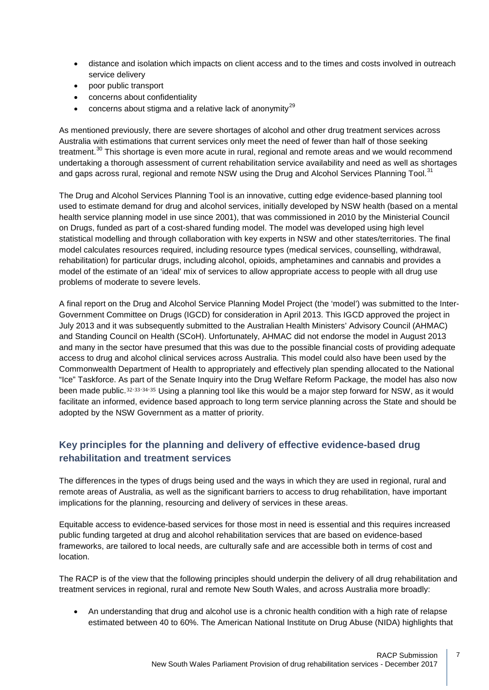- distance and isolation which impacts on client access and to the times and costs involved in outreach service delivery
- poor public transport
- concerns about confidentiality
- concerns about stigma and a relative lack of anonymity<sup>[29](#page-11-25)</sup>

As mentioned previously, there are severe shortages of alcohol and other drug treatment services across Australia with estimations that current services only meet the need of fewer than half of those seeking treatment.<sup>[30](#page-11-26)</sup> This shortage is even more acute in rural, regional and remote areas and we would recommend undertaking a thorough assessment of current rehabilitation service availability and need as well as shortages and gaps across rural, regional and remote NSW using the Drug and Alcohol Services Planning Tool.<sup>[31](#page-11-27)</sup>

The Drug and Alcohol Services Planning Tool is an innovative, cutting edge evidence-based planning tool used to estimate demand for drug and alcohol services, initially developed by NSW health (based on a mental health service planning model in use since 2001), that was commissioned in 2010 by the Ministerial Council on Drugs, funded as part of a cost-shared funding model. The model was developed using high level statistical modelling and through collaboration with key experts in NSW and other states/territories. The final model calculates resources required, including resource types (medical services, counselling, withdrawal, rehabilitation) for particular drugs, including alcohol, opioids, amphetamines and cannabis and provides a model of the estimate of an 'ideal' mix of services to allow appropriate access to people with all drug use problems of moderate to severe levels.

A final report on the Drug and Alcohol Service Planning Model Project (the 'model') was submitted to the Inter-Government Committee on Drugs (IGCD) for consideration in April 2013. This IGCD approved the project in July 2013 and it was subsequently submitted to the Australian Health Ministers' Advisory Council (AHMAC) and Standing Council on Health (SCoH). Unfortunately, AHMAC did not endorse the model in August 2013 and many in the sector have presumed that this was due to the possible financial costs of providing adequate access to drug and alcohol clinical services across Australia. This model could also have been used by the Commonwealth Department of Health to appropriately and effectively plan spending allocated to the National "Ice" Taskforce. A[s p](#page-11-28)[ar](#page-11-29)[t o](#page-11-30)[f t](#page-11-31)he Senate Inquiry into the Drug Welfare Reform Package, the model has also now been made public. 32, 33, 34, 35 Using a planning tool like this would be a major step forward for NSW, as it would facilitate an informed, evidence based approach to long term service planning across the State and should be adopted by the NSW Government as a matter of priority.

# **Key principles for the planning and delivery of effective evidence-based drug rehabilitation and treatment services**

The differences in the types of drugs being used and the ways in which they are used in regional, rural and remote areas of Australia, as well as the significant barriers to access to drug rehabilitation, have important implications for the planning, resourcing and delivery of services in these areas.

Equitable access to evidence-based services for those most in need is essential and this requires increased public funding targeted at drug and alcohol rehabilitation services that are based on evidence-based frameworks, are tailored to local needs, are culturally safe and are accessible both in terms of cost and location.

The RACP is of the view that the following principles should underpin the delivery of all drug rehabilitation and treatment services in regional, rural and remote New South Wales, and across Australia more broadly:

• An understanding that drug and alcohol use is a chronic health condition with a high rate of relapse estimated between 40 to 60%. The American National Institute on Drug Abuse (NIDA) highlights that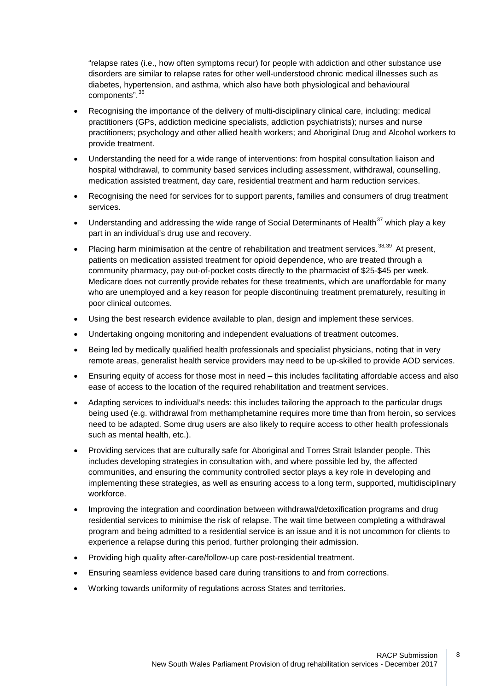"relapse rates (i.e., how often symptoms recur) for people with addiction and other substance use disorders are similar to relapse rates for other well-understood chronic medical illnesses such as diabetes, hypertension, and asthma, which also have both physiological and behavioural components". [36](#page-11-32)

- Recognising the importance of the delivery of multi-disciplinary clinical care, including; medical practitioners (GPs, addiction medicine specialists, addiction psychiatrists); nurses and nurse practitioners; psychology and other allied health workers; and Aboriginal Drug and Alcohol workers to provide treatment.
- Understanding the need for a wide range of interventions: from hospital consultation liaison and hospital withdrawal, to community based services including assessment, withdrawal, counselling, medication assisted treatment, day care, residential treatment and harm reduction services.
- Recognising the need for services for to support parents, families and consumers of drug treatment services.
- Understanding and addressing the wide range of Social Determinants of Health $37$  which play a key part in an individual's drug use and recovery.
- Placing harm minimisation at the centre of rehabilitation and treatment services.<sup>[38,](#page-11-34)[39](#page-11-35)</sup> At present, patients on medication assisted treatment for opioid dependence, who are treated through a community pharmacy, pay out-of-pocket costs directly to the pharmacist of \$25-\$45 per week. Medicare does not currently provide rebates for these treatments, which are unaffordable for many who are unemployed and a key reason for people discontinuing treatment prematurely, resulting in poor clinical outcomes.
- Using the best research evidence available to plan, design and implement these services.
- Undertaking ongoing monitoring and independent evaluations of treatment outcomes.
- Being led by medically qualified health professionals and specialist physicians, noting that in very remote areas, generalist health service providers may need to be up-skilled to provide AOD services.
- Ensuring equity of access for those most in need this includes facilitating affordable access and also ease of access to the location of the required rehabilitation and treatment services.
- Adapting services to individual's needs: this includes tailoring the approach to the particular drugs being used (e.g. withdrawal from methamphetamine requires more time than from heroin, so services need to be adapted. Some drug users are also likely to require access to other health professionals such as mental health, etc.).
- Providing services that are culturally safe for Aboriginal and Torres Strait Islander people. This includes developing strategies in consultation with, and where possible led by, the affected communities, and ensuring the community controlled sector plays a key role in developing and implementing these strategies, as well as ensuring access to a long term, supported, multidisciplinary workforce.
- Improving the integration and coordination between withdrawal/detoxification programs and drug residential services to minimise the risk of relapse. The wait time between completing a withdrawal program and being admitted to a residential service is an issue and it is not uncommon for clients to experience a relapse during this period, further prolonging their admission.
- Providing high quality after-care/follow-up care post-residential treatment.
- Ensuring seamless evidence based care during transitions to and from corrections.
- Working towards uniformity of regulations across States and territories.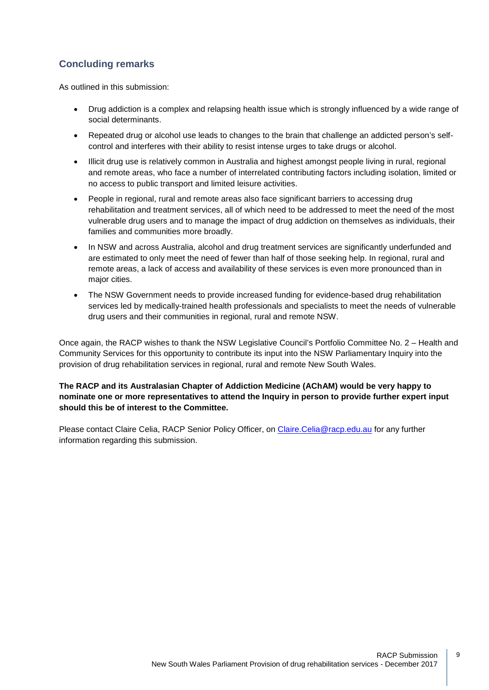# **Concluding remarks**

As outlined in this submission:

- Drug addiction is a complex and relapsing health issue which is strongly influenced by a wide range of social determinants.
- Repeated drug or alcohol use leads to changes to the brain that challenge an addicted person's selfcontrol and interferes with their ability to resist intense urges to take drugs or alcohol.
- Illicit drug use is relatively common in Australia and highest amongst people living in rural, regional and remote areas, who face a number of interrelated contributing factors including isolation, limited or no access to public transport and limited leisure activities.
- People in regional, rural and remote areas also face significant barriers to accessing drug rehabilitation and treatment services, all of which need to be addressed to meet the need of the most vulnerable drug users and to manage the impact of drug addiction on themselves as individuals, their families and communities more broadly.
- In NSW and across Australia, alcohol and drug treatment services are significantly underfunded and are estimated to only meet the need of fewer than half of those seeking help. In regional, rural and remote areas, a lack of access and availability of these services is even more pronounced than in major cities.
- The NSW Government needs to provide increased funding for evidence-based drug rehabilitation services led by medically-trained health professionals and specialists to meet the needs of vulnerable drug users and their communities in regional, rural and remote NSW.

Once again, the RACP wishes to thank the NSW Legislative Council's Portfolio Committee No. 2 – Health and Community Services for this opportunity to contribute its input into the NSW Parliamentary Inquiry into the provision of drug rehabilitation services in regional, rural and remote New South Wales.

## **The RACP and its Australasian Chapter of Addiction Medicine (AChAM) would be very happy to nominate one or more representatives to attend the Inquiry in person to provide further expert input should this be of interest to the Committee.**

Please contact Claire Celia, RACP Senior Policy Officer, on [Claire.Celia@racp.edu.au](mailto:Claire.Celia@racp.edu.au) for any further information regarding this submission.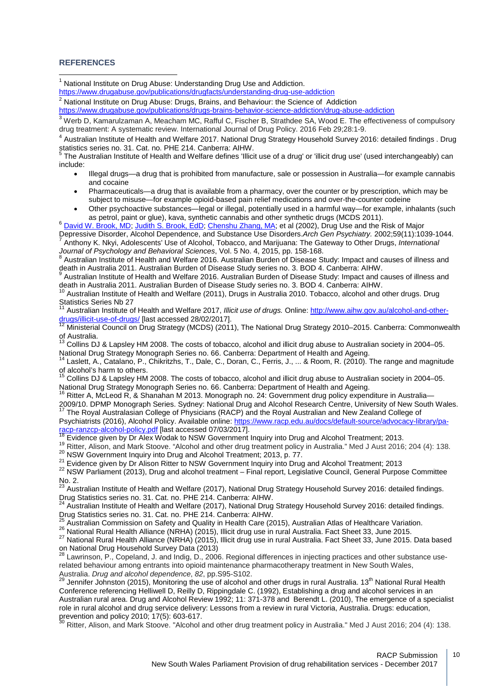#### **REFERENCES**

<sup>1</sup> National Institute on Drug Abuse: Understanding Drug Use and Addiction.

<span id="page-10-0"></span><https://www.drugabuse.gov/publications/drugfacts/understanding-drug-use-addiction>

 $2$  National Institute on Drug Abuse: Drugs, Brains, and Behaviour: the Science of Addiction

<span id="page-10-1"></span><https://www.drugabuse.gov/publications/drugs-brains-behavior-science-addiction/drug-abuse-addiction>

<span id="page-10-2"></span><sup>3</sup> Werb D. Kamarulzaman A. Meacham MC, Rafful C, Fischer B, Strathdee SA, Wood E. The effectiveness of compulsory drug treatment: A systematic review. International Journal of Drug Policy. 2016 Feb 29;28:1-9.

<sup>4</sup> Australian Institute of Health and Welfare 2017. National Drug Strategy Household Survey 2016: detailed findings . Drug statistics series no. 31. Cat. no. PHE 214. Canberra: AIHW.

The Australian Institute of Health and Welfare defines 'Illicit use of a drug' or 'illicit drug use' (used interchangeably) can include:

- Illegal drugs—a drug that is prohibited from manufacture, sale or possession in Australia—for example cannabis and cocaine
- Pharmaceuticals—a drug that is available from a pharmacy, over the counter or by prescription, which may be subject to misuse—for example opioid-based pain relief medications and over-the-counter codeine
- Other psychoactive substances—legal or illegal, potentially used in a harmful way—for example, inhalants (such as petrol, paint or glue), kava, synthetic cannabis and other synthetic drugs (MCDS 2011).

<sup>6</sup> [David W. Brook, MD;](http://jamanetwork.com/searchresults?author=David+W.+Brook&q=David+W.+Brook) [Judith S. Brook, EdD;](http://jamanetwork.com/searchresults?author=Judith+S.+Brook&q=Judith+S.+Brook) [Chenshu Zhang, MA;](http://jamanetwork.com/searchresults?author=Chenshu+Zhang&q=Chenshu+Zhang) et al (2002), Drug Use and the Risk of Major<br>Depressive Disorder, Alcohol Dependence, and Substance Use Disorders. Arch Gen Psychiatry. 2002;59(11):1039-1044 <sup>7</sup> Anthony K. Nkyi, Adolescents' Use of Alcohol, Tobacco, and Marijuana: The Gateway to Other Drugs, International Journal of Psychology and Behavioral Sciences, Vol. 5 No. 4, 2015, pp. 158-168.

<sup>8</sup> Australian Institute of Health and Welfare 2016. Australian Burden of Disease Study: Impact and causes of illness and death in Australia 2011. Australian Burden of Disease Study series no. 3. BOD 4. Canberra: AIHW.

Australian Institute of Health and Welfare 2016. Australian Burden of Disease Study: Impact and causes of illness and

death in Australia 2011. Australian Burden of Disease Study series no. 3. BOD 4. Canberra: AIHW.<br><sup>10</sup> Australian Institute of Health and Welfare (2011), Drugs in Australia 2010. Tobacco, alcohol and other drugs. Drug<br>Stati

Australian Institute of Health and Welfare 2017, *Illicit use of drugs.* Online: [http://www.aihw.gov.au/alcohol-and-other](http://www.aihw.gov.au/alcohol-and-other-drugs/illicit-use-of-drugs/)[drugs/illicit-use-of-drugs/](http://www.aihw.gov.au/alcohol-and-other-drugs/illicit-use-of-drugs/) [last accessed 28/02/2017].<br><sup>12</sup> Ministerial Council on Drug Strategy (MCDS) (2011), The National Drug Strategy 2010–2015. Canberra: Commonwealth

of Australia.

<sup>13</sup> Collins DJ & Lapsley HM 2008. The costs of tobacco, alcohol and illicit drug abuse to Australian society in 2004–05.

National Drug Strategy Monograph Series no. 66. Canberra: Department of Health and Ageing.<br><sup>14</sup> Laslett, A., Catalano, P., Chikritzhs, T., Dale, C., Doran, C., Ferris, J., ... & Room, R. (2010). The range and magnitude of alcohol's harm to others.

<sup>15</sup> Collins DJ & Lapsley HM 2008. The costs of tobacco, alcohol and illicit drug abuse to Australian society in 2004–05. National Drug Strategy Monograph Series no. 66. Canberra: Department of Health and Ageing.

Ritter A, McLeod R, & Shanahan M 2013. Monograph no. 24: Government drug policy expenditure in Australia– 2009/10. DPMP Monograph Series. Sydney: National Drug and Alcohol Research Centre, University of New South Wales.

<sup>17</sup> The Royal Australasian College of Physicians (RACP) and the Royal Australian and New Zealand College of Psychiatrists (2016), Alcohol Policy. Available online: https://www.racp.edu.au/docs/default-source/advocacy-library/pa-<br>racp-ranzcp-alcohol-policy.pdf [last accessed 07/03/2017].

<sup>18</sup> Evidence given by Dr Alex Wodak to NSW Government Inquiry into Drug and Alcohol Treatment; 2013.<br><sup>19</sup> Ritter, Alison, and Mark Stoove. "Alcohol and other drug treatment policy in Australia." Med J Aust 2016; 204 (4):

 $N_{23}$  . 2.

<sup>23</sup> Australian Institute of Health and Welfare (2017), National Drug Strategy Household Survey 2016: detailed findings.<br>Drug Statistics series no. 31. Cat. no. PHE 214. Canberra: AIHW.

<sup>24</sup> Australian Institute of Health and Welfare (2017), National Drug Strategy Household Survey 2016: detailed findings.<br>Drug Statistics series no. 31. Cat. no. PHE 214. Canberra: AIHW.

<sup>25</sup> Australian Commission on Safety and Quality in Health Care (2015), Australian Atlas of Healthcare Variation.<br><sup>26</sup> National Rural Health Alliance (NRHA) (2015), Illicit drug use in rural Australia. Fact Sheet 33, June on National Drug Household Survey Data (2013)<br><sup>28</sup> Lawrinson, P., Copeland, J. and Indig, D., 2006. Regional differences in injecting practices and other substance use-

related behaviour among entrants into opioid maintenance pharmacotherapy treatment in New South Wales, Australia. *Drug and alcohol dependence*, *82*, pp.S95-S102.<br><sup>29</sup> Jennifer Johnston (2015), Monitoring the use of alcohol and other drugs in rural Australia. 13<sup>th</sup> National Rural Health

Conference referencing Helliwell D, Reilly D, Rippingdale C. (1992), Establishing a drug and alcohol services in an Australian rural area. Drug and Alcohol Review 1992; 11: 371-378 and Berendt L. (2010), The emergence of a specialist role in rural alcohol and drug service delivery: Lessons from a review in rural Victoria, Australia. Drugs: education, prevention and policy 2010; 17(5): 603-617.<br><sup>30</sup> Ritter, Alison, and Mark Stoove. "Alcohol and other drug treatment policy in Australia." Med J Aust 2016; 204 (4): 138.